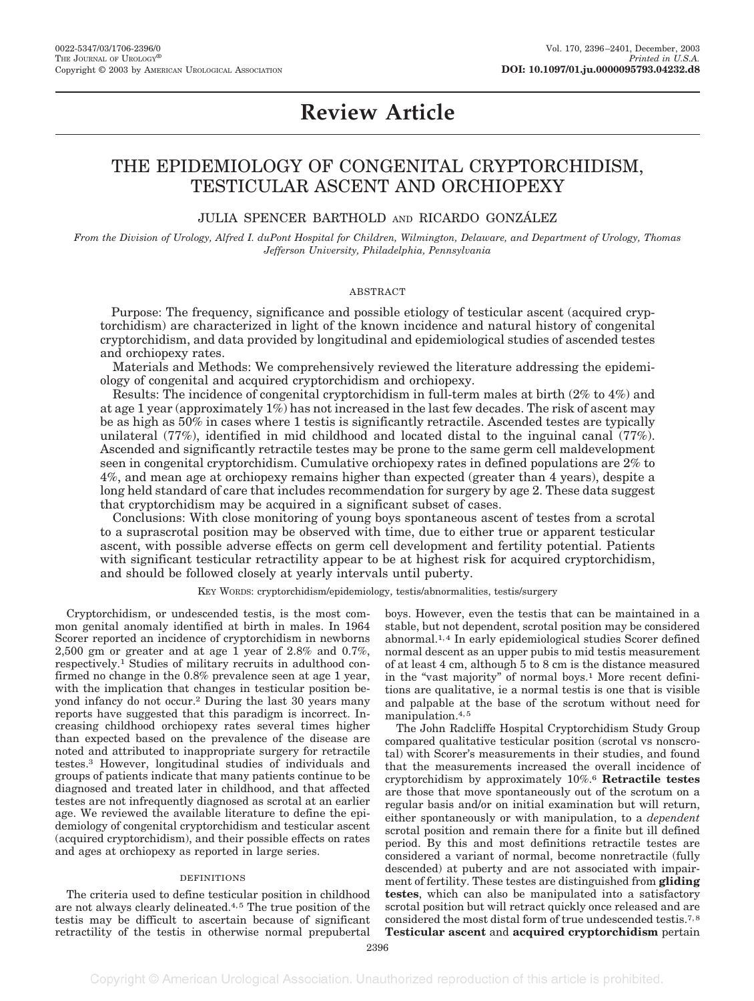# **Review Article**

## THE EPIDEMIOLOGY OF CONGENITAL CRYPTORCHIDISM, TESTICULAR ASCENT AND ORCHIOPEXY

### JULIA SPENCER BARTHOLD AND RICARDO GONZÁLEZ

*From the Division of Urology, Alfred I. duPont Hospital for Children, Wilmington, Delaware, and Department of Urology, Thomas Jefferson University, Philadelphia, Pennsylvania*

#### ABSTRACT

Purpose: The frequency, significance and possible etiology of testicular ascent (acquired cryptorchidism) are characterized in light of the known incidence and natural history of congenital cryptorchidism, and data provided by longitudinal and epidemiological studies of ascended testes and orchiopexy rates.

Materials and Methods: We comprehensively reviewed the literature addressing the epidemiology of congenital and acquired cryptorchidism and orchiopexy.

Results: The incidence of congenital cryptorchidism in full-term males at birth (2% to 4%) and at age 1 year (approximately 1%) has not increased in the last few decades. The risk of ascent may be as high as 50% in cases where 1 testis is significantly retractile. Ascended testes are typically unilateral (77%), identified in mid childhood and located distal to the inguinal canal (77%). Ascended and significantly retractile testes may be prone to the same germ cell maldevelopment seen in congenital cryptorchidism. Cumulative orchiopexy rates in defined populations are 2% to 4%, and mean age at orchiopexy remains higher than expected (greater than 4 years), despite a long held standard of care that includes recommendation for surgery by age 2. These data suggest that cryptorchidism may be acquired in a significant subset of cases.

Conclusions: With close monitoring of young boys spontaneous ascent of testes from a scrotal to a suprascrotal position may be observed with time, due to either true or apparent testicular ascent, with possible adverse effects on germ cell development and fertility potential. Patients with significant testicular retractility appear to be at highest risk for acquired cryptorchidism, and should be followed closely at yearly intervals until puberty.

#### KEY WORDS: cryptorchidism/epidemiology, testis/abnormalities, testis/surgery

Cryptorchidism, or undescended testis, is the most common genital anomaly identified at birth in males. In 1964 Scorer reported an incidence of cryptorchidism in newborns 2,500 gm or greater and at age 1 year of 2.8% and 0.7%, respectively.1 Studies of military recruits in adulthood confirmed no change in the 0.8% prevalence seen at age 1 year, with the implication that changes in testicular position beyond infancy do not occur.<sup>2</sup> During the last 30 years many reports have suggested that this paradigm is incorrect. Increasing childhood orchiopexy rates several times higher than expected based on the prevalence of the disease are noted and attributed to inappropriate surgery for retractile testes.3 However, longitudinal studies of individuals and groups of patients indicate that many patients continue to be diagnosed and treated later in childhood, and that affected testes are not infrequently diagnosed as scrotal at an earlier age. We reviewed the available literature to define the epidemiology of congenital cryptorchidism and testicular ascent (acquired cryptorchidism), and their possible effects on rates and ages at orchiopexy as reported in large series.

#### DEFINITIONS

The criteria used to define testicular position in childhood are not always clearly delineated.<sup>4,5</sup> The true position of the testis may be difficult to ascertain because of significant retractility of the testis in otherwise normal prepubertal boys. However, even the testis that can be maintained in a stable, but not dependent, scrotal position may be considered abnormal.1, 4 In early epidemiological studies Scorer defined normal descent as an upper pubis to mid testis measurement of at least 4 cm, although 5 to 8 cm is the distance measured in the "vast majority" of normal boys.1 More recent definitions are qualitative, ie a normal testis is one that is visible and palpable at the base of the scrotum without need for manipulation.4, 5

The John Radcliffe Hospital Cryptorchidism Study Group compared qualitative testicular position (scrotal vs nonscrotal) with Scorer's measurements in their studies, and found that the measurements increased the overall incidence of cryptorchidism by approximately 10%.6 **Retractile testes** are those that move spontaneously out of the scrotum on a regular basis and/or on initial examination but will return, either spontaneously or with manipulation, to a *dependent* scrotal position and remain there for a finite but ill defined period. By this and most definitions retractile testes are considered a variant of normal, become nonretractile (fully descended) at puberty and are not associated with impairment of fertility. These testes are distinguished from **gliding testes**, which can also be manipulated into a satisfactory scrotal position but will retract quickly once released and are considered the most distal form of true undescended testis.7, 8 **Testicular ascent** and **acquired cryptorchidism** pertain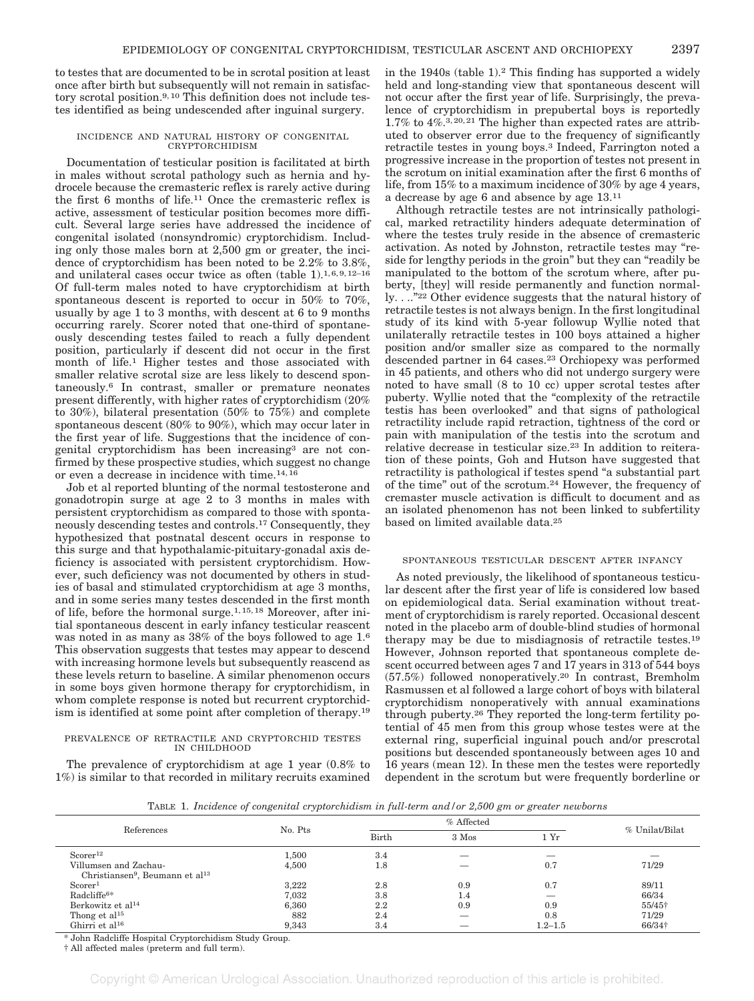to testes that are documented to be in scrotal position at least once after birth but subsequently will not remain in satisfactory scrotal position.9, 10 This definition does not include testes identified as being undescended after inguinal surgery.

#### INCIDENCE AND NATURAL HISTORY OF CONGENITAL CRYPTORCHIDISM

Documentation of testicular position is facilitated at birth in males without scrotal pathology such as hernia and hydrocele because the cremasteric reflex is rarely active during the first 6 months of life.11 Once the cremasteric reflex is active, assessment of testicular position becomes more difficult. Several large series have addressed the incidence of congenital isolated (nonsyndromic) cryptorchidism. Including only those males born at 2,500 gm or greater, the incidence of cryptorchidism has been noted to be 2.2% to 3.8%, and unilateral cases occur twice as often (table 1).<sup>1,6,9,12-16</sup> Of full-term males noted to have cryptorchidism at birth spontaneous descent is reported to occur in 50% to 70%, usually by age 1 to 3 months, with descent at 6 to 9 months occurring rarely. Scorer noted that one-third of spontaneously descending testes failed to reach a fully dependent position, particularly if descent did not occur in the first month of life.1 Higher testes and those associated with smaller relative scrotal size are less likely to descend spontaneously.6 In contrast, smaller or premature neonates present differently, with higher rates of cryptorchidism (20% to 30%), bilateral presentation (50% to 75%) and complete spontaneous descent (80% to 90%), which may occur later in the first year of life. Suggestions that the incidence of congenital cryptorchidism has been increasing3 are not confirmed by these prospective studies, which suggest no change or even a decrease in incidence with time.14, 16

Job et al reported blunting of the normal testosterone and gonadotropin surge at age 2 to 3 months in males with persistent cryptorchidism as compared to those with spontaneously descending testes and controls.17 Consequently, they hypothesized that postnatal descent occurs in response to this surge and that hypothalamic-pituitary-gonadal axis deficiency is associated with persistent cryptorchidism. However, such deficiency was not documented by others in studies of basal and stimulated cryptorchidism at age 3 months, and in some series many testes descended in the first month of life, before the hormonal surge.1, 15, 18 Moreover, after initial spontaneous descent in early infancy testicular reascent was noted in as many as 38% of the boys followed to age 1.6 This observation suggests that testes may appear to descend with increasing hormone levels but subsequently reascend as these levels return to baseline. A similar phenomenon occurs in some boys given hormone therapy for cryptorchidism, in whom complete response is noted but recurrent cryptorchidism is identified at some point after completion of therapy.19

#### PREVALENCE OF RETRACTILE AND CRYPTORCHID TESTES IN CHILDHOOD

The prevalence of cryptorchidism at age 1 year (0.8% to 1%) is similar to that recorded in military recruits examined in the 1940s (table 1).2 This finding has supported a widely held and long-standing view that spontaneous descent will not occur after the first year of life. Surprisingly, the prevalence of cryptorchidism in prepubertal boys is reportedly 1.7% to  $4\%$ .<sup>3, 20, 21</sup> The higher than expected rates are attributed to observer error due to the frequency of significantly retractile testes in young boys.3 Indeed, Farrington noted a progressive increase in the proportion of testes not present in the scrotum on initial examination after the first 6 months of life, from 15% to a maximum incidence of 30% by age 4 years, a decrease by age 6 and absence by age 13.11

Although retractile testes are not intrinsically pathological, marked retractility hinders adequate determination of where the testes truly reside in the absence of cremasteric activation. As noted by Johnston, retractile testes may "reside for lengthy periods in the groin" but they can "readily be manipulated to the bottom of the scrotum where, after puberty, [they] will reside permanently and function normally. . .."22 Other evidence suggests that the natural history of retractile testes is not always benign. In the first longitudinal study of its kind with 5-year followup Wyllie noted that unilaterally retractile testes in 100 boys attained a higher position and/or smaller size as compared to the normally descended partner in 64 cases.23 Orchiopexy was performed in 45 patients, and others who did not undergo surgery were noted to have small (8 to 10 cc) upper scrotal testes after puberty. Wyllie noted that the "complexity of the retractile testis has been overlooked" and that signs of pathological retractility include rapid retraction, tightness of the cord or pain with manipulation of the testis into the scrotum and relative decrease in testicular size.23 In addition to reiteration of these points, Goh and Hutson have suggested that retractility is pathological if testes spend "a substantial part of the time" out of the scrotum.24 However, the frequency of cremaster muscle activation is difficult to document and as an isolated phenomenon has not been linked to subfertility based on limited available data.25

#### SPONTANEOUS TESTICULAR DESCENT AFTER INFANCY

As noted previously, the likelihood of spontaneous testicular descent after the first year of life is considered low based on epidemiological data. Serial examination without treatment of cryptorchidism is rarely reported. Occasional descent noted in the placebo arm of double-blind studies of hormonal therapy may be due to misdiagnosis of retractile testes.19 However, Johnson reported that spontaneous complete descent occurred between ages 7 and 17 years in 313 of 544 boys (57.5%) followed nonoperatively.20 In contrast, Bremholm Rasmussen et al followed a large cohort of boys with bilateral cryptorchidism nonoperatively with annual examinations through puberty.26 They reported the long-term fertility potential of 45 men from this group whose testes were at the external ring, superficial inguinal pouch and/or prescrotal positions but descended spontaneously between ages 10 and 16 years (mean 12). In these men the testes were reportedly dependent in the scrotum but were frequently borderline or

TABLE 1. *Incidence of congenital cryptorchidism in full-term and/or 2,500 gm or greater newborns*

|                                                         | . .     |       | $\sim$  | $\sim$      |                |
|---------------------------------------------------------|---------|-------|---------|-------------|----------------|
| References                                              |         |       |         |             |                |
|                                                         | No. Pts | Birth | 3 Mos   | 1 Yr        | % Unilat/Bilat |
| Scorer <sup>12</sup>                                    | 1,500   | 3.4   |         | __          |                |
| Villumsen and Zachau-                                   | 4,500   | 1.8   |         | 0.7         | 71/29          |
| Christiansen <sup>9</sup> , Beumann et al <sup>13</sup> |         |       |         |             |                |
| S <sub>corr</sub>                                       | 3.222   | 2.8   | 0.9     | 0.7         | 89/11          |
| Radcliffe <sup>6*</sup>                                 | 7.032   | 3.8   | $1.4\,$ |             | 66/34          |
| Berkowitz et al <sup>14</sup>                           | 6,360   | 2.2   | 0.9     | 0.9         | 55/45+         |
| Thong et al <sup>15</sup>                               | 882     | 2.4   |         | 0.8         | 71/29          |
| Ghirri et al <sup>16</sup>                              | 9,343   | 3.4   |         | $1.2 - 1.5$ | 66/34†         |

\* John Radcliffe Hospital Cryptorchidism Study Group.

† All affected males (preterm and full term).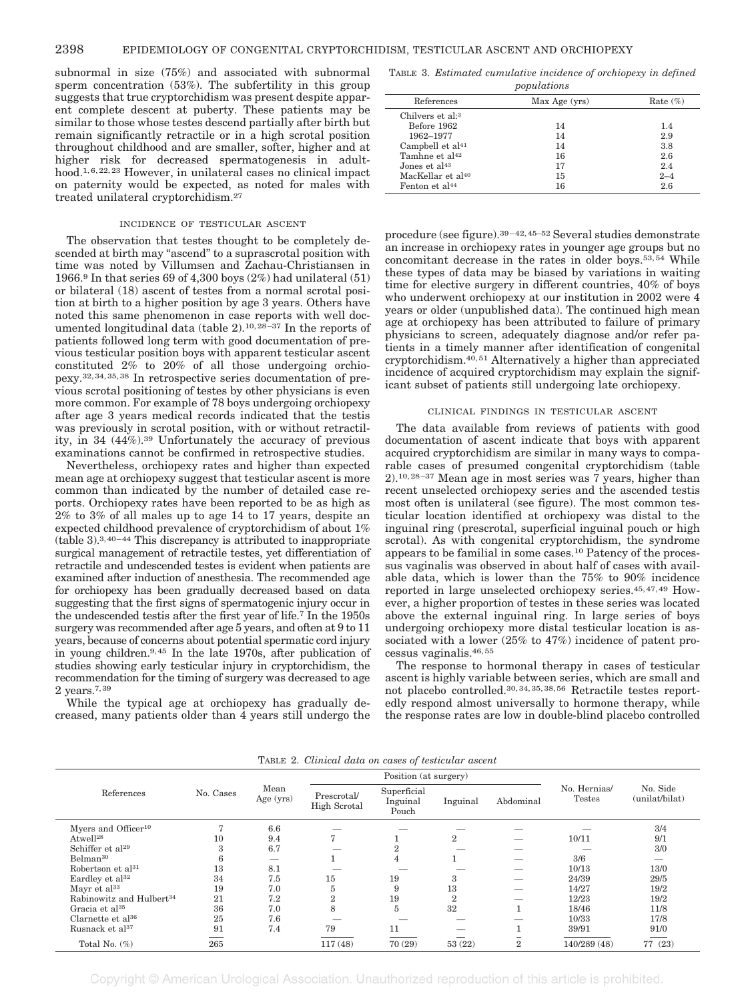subnormal in size (75%) and associated with subnormal sperm concentration (53%). The subfertility in this group suggests that true cryptorchidism was present despite apparent complete descent at puberty. These patients may be similar to those whose testes descend partially after birth but remain significantly retractile or in a high scrotal position throughout childhood and are smaller, softer, higher and at higher risk for decreased spermatogenesis in adulthood.1, 6, 22, 23 However, in unilateral cases no clinical impact on paternity would be expected, as noted for males with treated unilateral cryptorchidism.27

#### INCIDENCE OF TESTICULAR ASCENT

The observation that testes thought to be completely descended at birth may "ascend" to a suprascrotal position with time was noted by Villumsen and Zachau-Christiansen in 1966.<sup>9</sup> In that series 69 of 4,300 boys  $(2%)$  had unilateral  $(51)$ or bilateral (18) ascent of testes from a normal scrotal position at birth to a higher position by age 3 years. Others have noted this same phenomenon in case reports with well documented longitudinal data (table 2).10, 28–37 In the reports of patients followed long term with good documentation of previous testicular position boys with apparent testicular ascent constituted 2% to 20% of all those undergoing orchiopexy.32, 34, 35, 38 In retrospective series documentation of previous scrotal positioning of testes by other physicians is even more common. For example of 78 boys undergoing orchiopexy after age 3 years medical records indicated that the testis was previously in scrotal position, with or without retractility, in 34 (44%).39 Unfortunately the accuracy of previous examinations cannot be confirmed in retrospective studies.

Nevertheless, orchiopexy rates and higher than expected mean age at orchiopexy suggest that testicular ascent is more common than indicated by the number of detailed case reports. Orchiopexy rates have been reported to be as high as 2% to 3% of all males up to age 14 to 17 years, despite an expected childhood prevalence of cryptorchidism of about 1% (table 3).3,40–44 This discrepancy is attributed to inappropriate surgical management of retractile testes, yet differentiation of retractile and undescended testes is evident when patients are examined after induction of anesthesia. The recommended age for orchiopexy has been gradually decreased based on data suggesting that the first signs of spermatogenic injury occur in the undescended testis after the first year of life.7 In the 1950s surgery was recommended after age 5 years, and often at 9 to 11 years, because of concerns about potential spermatic cord injury in young children.9,45 In the late 1970s, after publication of studies showing early testicular injury in cryptorchidism, the recommendation for the timing of surgery was decreased to age 2 years.7,39

While the typical age at orchiopexy has gradually decreased, many patients older than 4 years still undergo the

TABLE 3. *Estimated cumulative incidence of orchiopexy in defined populations*

| popweavono                    |               |             |  |  |  |  |
|-------------------------------|---------------|-------------|--|--|--|--|
| References                    | Max Age (yrs) | Rate $(\%)$ |  |  |  |  |
| Chilvers et al: <sup>3</sup>  |               |             |  |  |  |  |
| Before 1962                   | 14            | 1.4         |  |  |  |  |
| 1962-1977                     | 14            | 2.9         |  |  |  |  |
| Campbell et $al41$            | 14            | 3.8         |  |  |  |  |
| Tamhne et al <sup>42</sup>    | 16            | 2.6         |  |  |  |  |
| Jones et $al43$               | 17            | 2.4         |  |  |  |  |
| MacKellar et al <sup>40</sup> | 15            | $2 - 4$     |  |  |  |  |
| Fenton et al <sup>44</sup>    | 16            | 2.6         |  |  |  |  |

procedure (see figure).39–42, 45–52 Several studies demonstrate an increase in orchiopexy rates in younger age groups but no concomitant decrease in the rates in older boys.53, 54 While these types of data may be biased by variations in waiting time for elective surgery in different countries, 40% of boys who underwent orchiopexy at our institution in 2002 were 4 years or older (unpublished data). The continued high mean age at orchiopexy has been attributed to failure of primary physicians to screen, adequately diagnose and/or refer patients in a timely manner after identification of congenital cryptorchidism.40, 51 Alternatively a higher than appreciated incidence of acquired cryptorchidism may explain the significant subset of patients still undergoing late orchiopexy.

#### CLINICAL FINDINGS IN TESTICULAR ASCENT

The data available from reviews of patients with good documentation of ascent indicate that boys with apparent acquired cryptorchidism are similar in many ways to comparable cases of presumed congenital cryptorchidism (table 2).10, 28–37 Mean age in most series was 7 years, higher than recent unselected orchiopexy series and the ascended testis most often is unilateral (see figure). The most common testicular location identified at orchiopexy was distal to the inguinal ring (prescrotal, superficial inguinal pouch or high scrotal). As with congenital cryptorchidism, the syndrome appears to be familial in some cases.10 Patency of the processus vaginalis was observed in about half of cases with available data, which is lower than the 75% to 90% incidence reported in large unselected orchiopexy series.45, 47, 49 However, a higher proportion of testes in these series was located above the external inguinal ring. In large series of boys undergoing orchiopexy more distal testicular location is associated with a lower (25% to 47%) incidence of patent processus vaginalis.46, 55

The response to hormonal therapy in cases of testicular ascent is highly variable between series, which are small and not placebo controlled.30, 34, 35, 38, 56 Retractile testes reportedly respond almost universally to hormone therapy, while the response rates are low in double-blind placebo controlled

|                                      | No. Cases | Mean<br>Age $(yrs)$ | Position (at surgery)              |                                  |                  |                |                               |                            |
|--------------------------------------|-----------|---------------------|------------------------------------|----------------------------------|------------------|----------------|-------------------------------|----------------------------|
| References                           |           |                     | Prescrotal/<br><b>High Scrotal</b> | Superficial<br>Inguinal<br>Pouch | Inguinal         | Abdominal      | No. Hernias/<br><b>Testes</b> | No. Side<br>(unilat/bilat) |
| Myers and Officer <sup>10</sup>      |           | 6.6                 |                                    |                                  |                  |                |                               | 3/4                        |
| Atwell <sup>28</sup>                 | 10        | 9.4                 |                                    |                                  | $\overline{2}$   |                | 10/11                         | 9/1                        |
| Schiffer et al <sup>29</sup>         | 3         | 6.7                 |                                    | 9                                |                  |                |                               | 3/0                        |
| Belman <sup>30</sup>                 | 6         |                     |                                    | 4                                |                  |                | 3/6                           |                            |
| Robertson et al <sup>31</sup>        | 13        | 8.1                 |                                    |                                  |                  |                | 10/13                         | 13/0                       |
| Eardley et al <sup>32</sup>          | 34        | 7.5                 | 15                                 | 19                               | 3                |                | 24/39                         | 29/5                       |
| Mayr et al <sup>33</sup>             | 19        | 7.0                 | 5                                  | 9                                | 13               |                | 14/27                         | 19/2                       |
| Rabinowitz and Hulbert <sup>34</sup> | 21        | 7.2                 | $\,2$                              | 19                               | $\boldsymbol{2}$ |                | 12/23                         | 19/2                       |
| Gracia et al <sup>35</sup>           | 36        | 7.0                 | 8                                  | 5                                | 32               |                | 18/46                         | 11/8                       |
| Clarette et al <sup>36</sup>         | 25        | 7.6                 |                                    |                                  |                  |                | 10/33                         | 17/8                       |
| Rusnack et al <sup>37</sup>          | 91        | 7.4                 | 79                                 | 11                               |                  |                | 39/91                         | 91/0                       |
| Total No. $(\%)$                     | 265       |                     | 117(48)                            | 70(29)                           | 53(22)           | $\overline{2}$ | 140/289 (48)                  | 77 (23)                    |

TABLE 2. *Clinical data on cases of testicular ascent*

Copyright © American Urological Association. Unauthorized reproduction of this article is prohibited.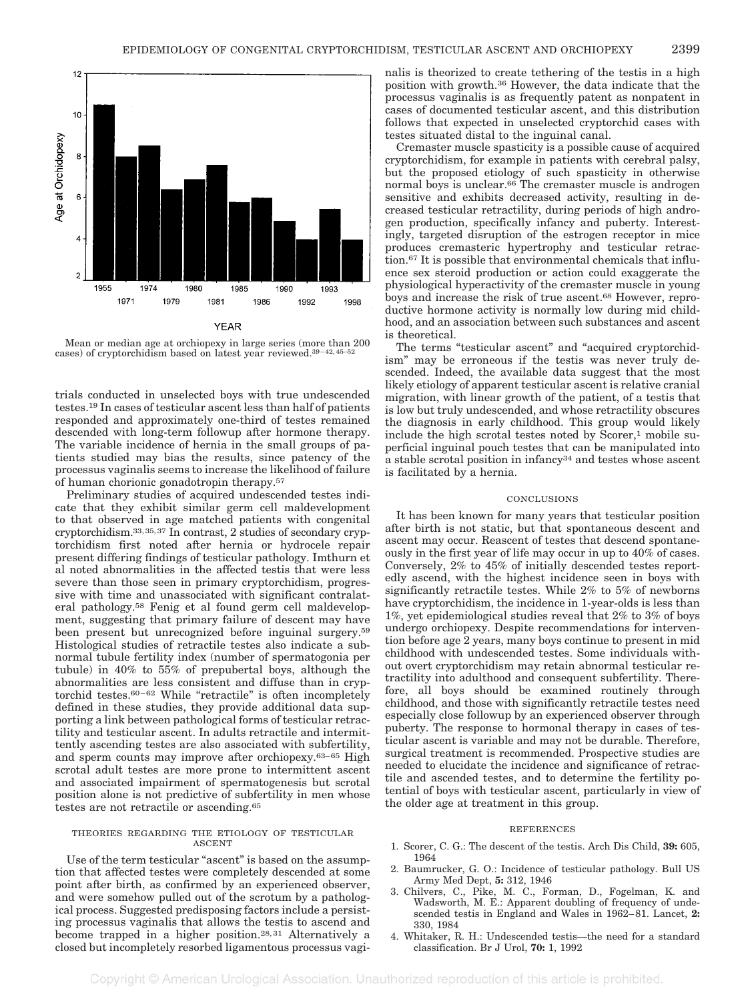

Mean or median age at orchiopexy in large series (more than 200 cases) of cryptorchidism based on latest year reviewed.39–42, 45–52

trials conducted in unselected boys with true undescended testes.19 In cases of testicular ascent less than half of patients responded and approximately one-third of testes remained descended with long-term followup after hormone therapy. The variable incidence of hernia in the small groups of patients studied may bias the results, since patency of the processus vaginalis seems to increase the likelihood of failure of human chorionic gonadotropin therapy.57

Preliminary studies of acquired undescended testes indicate that they exhibit similar germ cell maldevelopment to that observed in age matched patients with congenital cryptorchidism.33,35,37 In contrast, 2 studies of secondary cryptorchidism first noted after hernia or hydrocele repair present differing findings of testicular pathology. Imthurn et al noted abnormalities in the affected testis that were less severe than those seen in primary cryptorchidism, progressive with time and unassociated with significant contralateral pathology.58 Fenig et al found germ cell maldevelopment, suggesting that primary failure of descent may have been present but unrecognized before inguinal surgery.59 Histological studies of retractile testes also indicate a subnormal tubule fertility index (number of spermatogonia per tubule) in 40% to 55% of prepubertal boys, although the abnormalities are less consistent and diffuse than in cryptorchid testes.60–62 While "retractile" is often incompletely defined in these studies, they provide additional data supporting a link between pathological forms of testicular retractility and testicular ascent. In adults retractile and intermittently ascending testes are also associated with subfertility, and sperm counts may improve after orchiopexy.63–65 High scrotal adult testes are more prone to intermittent ascent and associated impairment of spermatogenesis but scrotal position alone is not predictive of subfertility in men whose testes are not retractile or ascending.<sup>65</sup>

#### THEORIES REGARDING THE ETIOLOGY OF TESTICULAR ASCENT

Use of the term testicular "ascent" is based on the assumption that affected testes were completely descended at some point after birth, as confirmed by an experienced observer, and were somehow pulled out of the scrotum by a pathological process. Suggested predisposing factors include a persisting processus vaginalis that allows the testis to ascend and become trapped in a higher position.28, 31 Alternatively a closed but incompletely resorbed ligamentous processus vaginalis is theorized to create tethering of the testis in a high position with growth.36 However, the data indicate that the processus vaginalis is as frequently patent as nonpatent in cases of documented testicular ascent, and this distribution follows that expected in unselected cryptorchid cases with testes situated distal to the inguinal canal.

Cremaster muscle spasticity is a possible cause of acquired cryptorchidism, for example in patients with cerebral palsy, but the proposed etiology of such spasticity in otherwise normal boys is unclear.66 The cremaster muscle is androgen sensitive and exhibits decreased activity, resulting in decreased testicular retractility, during periods of high androgen production, specifically infancy and puberty. Interestingly, targeted disruption of the estrogen receptor in mice produces cremasteric hypertrophy and testicular retraction.67 It is possible that environmental chemicals that influence sex steroid production or action could exaggerate the physiological hyperactivity of the cremaster muscle in young boys and increase the risk of true ascent.68 However, reproductive hormone activity is normally low during mid childhood, and an association between such substances and ascent is theoretical.

The terms "testicular ascent" and "acquired cryptorchidism" may be erroneous if the testis was never truly descended. Indeed, the available data suggest that the most likely etiology of apparent testicular ascent is relative cranial migration, with linear growth of the patient, of a testis that is low but truly undescended, and whose retractility obscures the diagnosis in early childhood. This group would likely include the high scrotal testes noted by  $Score, 1$  mobile superficial inguinal pouch testes that can be manipulated into a stable scrotal position in infancy34 and testes whose ascent is facilitated by a hernia.

#### **CONCLUSIONS**

It has been known for many years that testicular position after birth is not static, but that spontaneous descent and ascent may occur. Reascent of testes that descend spontaneously in the first year of life may occur in up to 40% of cases. Conversely, 2% to 45% of initially descended testes reportedly ascend, with the highest incidence seen in boys with significantly retractile testes. While 2% to 5% of newborns have cryptorchidism, the incidence in 1-year-olds is less than 1%, yet epidemiological studies reveal that 2% to 3% of boys undergo orchiopexy. Despite recommendations for intervention before age 2 years, many boys continue to present in mid childhood with undescended testes. Some individuals without overt cryptorchidism may retain abnormal testicular retractility into adulthood and consequent subfertility. Therefore, all boys should be examined routinely through childhood, and those with significantly retractile testes need especially close followup by an experienced observer through puberty. The response to hormonal therapy in cases of testicular ascent is variable and may not be durable. Therefore, surgical treatment is recommended. Prospective studies are needed to elucidate the incidence and significance of retractile and ascended testes, and to determine the fertility potential of boys with testicular ascent, particularly in view of the older age at treatment in this group.

#### REFERENCES

- 1. Scorer, C. G.: The descent of the testis. Arch Dis Child, **39:** 605, 1964
- 2. Baumrucker, G. O.: Incidence of testicular pathology. Bull US Army Med Dept, **5:** 312, 1946
- 3. Chilvers, C., Pike, M. C., Forman, D., Fogelman, K. and Wadsworth, M. E.: Apparent doubling of frequency of undescended testis in England and Wales in 1962–81. Lancet, **2:** 330, 1984
- 4. Whitaker, R. H.: Undescended testis—the need for a standard classification. Br J Urol, **70:** 1, 1992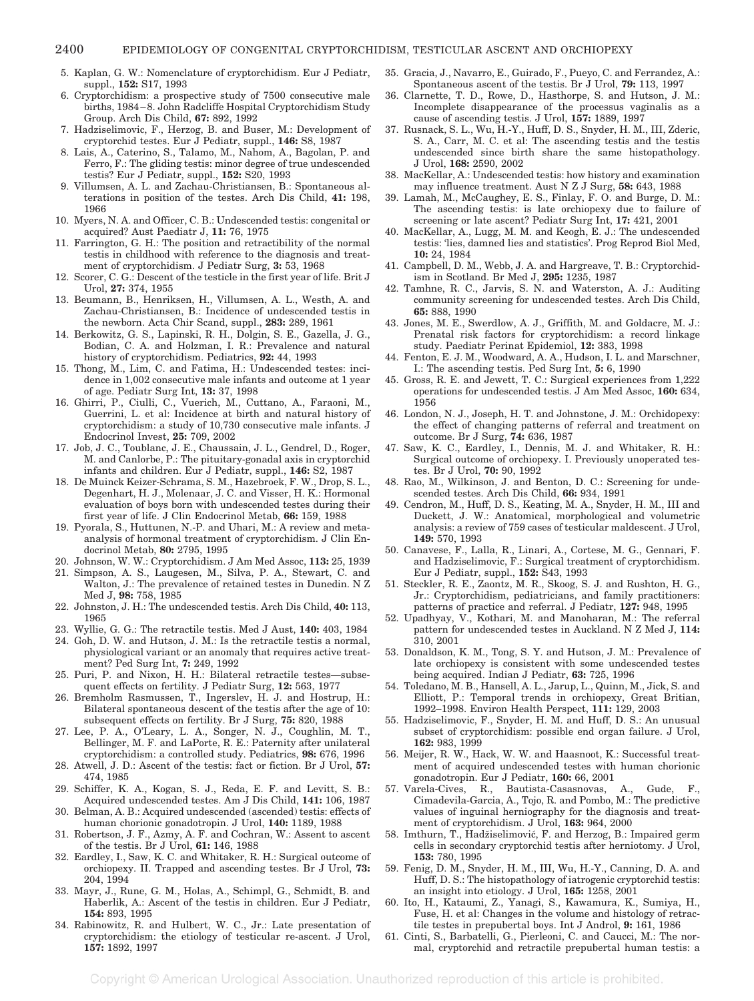- 5. Kaplan, G. W.: Nomenclature of cryptorchidism. Eur J Pediatr, suppl., **152:** S17, 1993
- 6. Cryptorchidism: a prospective study of 7500 consecutive male births, 1984–8. John Radcliffe Hospital Cryptorchidism Study Group. Arch Dis Child, **67:** 892, 1992
- 7. Hadziselimovic, F., Herzog, B. and Buser, M.: Development of cryptorchid testes. Eur J Pediatr, suppl., **146:** S8, 1987
- 8. Lais, A., Caterino, S., Talamo, M., Nahom, A., Bagolan, P. and Ferro, F.: The gliding testis: minor degree of true undescended testis? Eur J Pediatr, suppl., **152:** S20, 1993
- 9. Villumsen, A. L. and Zachau-Christiansen, B.: Spontaneous alterations in position of the testes. Arch Dis Child, **41:** 198, 1966
- 10. Myers, N. A. and Officer, C. B.: Undescended testis: congenital or acquired? Aust Paediatr J, **11:** 76, 1975
- 11. Farrington, G. H.: The position and retractibility of the normal testis in childhood with reference to the diagnosis and treatment of cryptorchidism. J Pediatr Surg, **3:** 53, 1968
- 12. Scorer, C. G.: Descent of the testicle in the first year of life. Brit J Urol, **27:** 374, 1955
- 13. Beumann, B., Henriksen, H., Villumsen, A. L., Westh, A. and Zachau-Christiansen, B.: Incidence of undescended testis in the newborn. Acta Chir Scand, suppl., **283:** 289, 1961
- 14. Berkowitz, G. S., Lapinski, R. H., Dolgin, S. E., Gazella, J. G., Bodian, C. A. and Holzman, I. R.: Prevalence and natural history of cryptorchidism. Pediatrics, **92:** 44, 1993
- 15. Thong, M., Lim, C. and Fatima, H.: Undescended testes: incidence in 1,002 consecutive male infants and outcome at 1 year of age. Pediatr Surg Int, **13:** 37, 1998
- 16. Ghirri, P., Ciulli, C., Vuerich, M., Cuttano, A., Faraoni, M., Guerrini, L. et al: Incidence at birth and natural history of cryptorchidism: a study of 10,730 consecutive male infants. J Endocrinol Invest, **25:** 709, 2002
- 17. Job, J. C., Toublanc, J. E., Chaussain, J. L., Gendrel, D., Roger, M. and Canlorbe, P.: The pituitary-gonadal axis in cryptorchid infants and children. Eur J Pediatr, suppl., **146:** S2, 1987
- 18. De Muinck Keizer-Schrama, S. M., Hazebroek, F. W., Drop, S. L., Degenhart, H. J., Molenaar, J. C. and Visser, H. K.: Hormonal evaluation of boys born with undescended testes during their first year of life. J Clin Endocrinol Metab, **66:** 159, 1988
- 19. Pyorala, S., Huttunen, N.-P. and Uhari, M.: A review and metaanalysis of hormonal treatment of cryptorchidism. J Clin Endocrinol Metab, **80:** 2795, 1995
- 20. Johnson, W. W.: Cryptorchidism. J Am Med Assoc, **113:** 25, 1939
- 21. Simpson, A. S., Laugesen, M., Silva, P. A., Stewart, C. and Walton, J.: The prevalence of retained testes in Dunedin. N Z Med J, **98:** 758, 1985
- 22. Johnston, J. H.: The undescended testis. Arch Dis Child, **40:** 113, 1965
- 23. Wyllie, G. G.: The retractile testis. Med J Aust, **140:** 403, 1984
- 24. Goh, D. W. and Hutson, J. M.: Is the retractile testis a normal, physiological variant or an anomaly that requires active treatment? Ped Surg Int, **7:** 249, 1992
- 25. Puri, P. and Nixon, H. H.: Bilateral retractile testes—subsequent effects on fertility. J Pediatr Surg, **12:** 563, 1977
- 26. Bremholm Rasmussen, T., Ingerslev, H. J. and Hostrup, H.: Bilateral spontaneous descent of the testis after the age of 10: subsequent effects on fertility. Br J Surg, **75:** 820, 1988
- 27. Lee, P. A., O'Leary, L. A., Songer, N. J., Coughlin, M. T., Bellinger, M. F. and LaPorte, R. E.: Paternity after unilateral cryptorchidism: a controlled study. Pediatrics, **98:** 676, 1996
- 28. Atwell, J. D.: Ascent of the testis: fact or fiction. Br J Urol, **57:** 474, 1985
- 29. Schiffer, K. A., Kogan, S. J., Reda, E. F. and Levitt, S. B.: Acquired undescended testes. Am J Dis Child, **141:** 106, 1987
- 30. Belman, A. B.: Acquired undescended (ascended) testis: effects of human chorionic gonadotropin. J Urol, **140:** 1189, 1988
- 31. Robertson, J. F., Azmy, A. F. and Cochran, W.: Assent to ascent of the testis. Br J Urol, **61:** 146, 1988
- 32. Eardley, I., Saw, K. C. and Whitaker, R. H.: Surgical outcome of orchiopexy. II. Trapped and ascending testes. Br J Urol, **73:** 204, 1994
- 33. Mayr, J., Rune, G. M., Holas, A., Schimpl, G., Schmidt, B. and Haberlik, A.: Ascent of the testis in children. Eur J Pediatr, **154:** 893, 1995
- 34. Rabinowitz, R. and Hulbert, W. C., Jr.: Late presentation of cryptorchidism: the etiology of testicular re-ascent. J Urol, **157:** 1892, 1997
- 35. Gracia, J., Navarro, E., Guirado, F., Pueyo, C. and Ferrandez, A.: Spontaneous ascent of the testis. Br J Urol, **79:** 113, 1997
- 36. Clarnette, T. D., Rowe, D., Hasthorpe, S. and Hutson, J. M.: Incomplete disappearance of the processus vaginalis as a cause of ascending testis. J Urol, **157:** 1889, 1997
- 37. Rusnack, S. L., Wu, H.-Y., Huff, D. S., Snyder, H. M., III, Zderic, S. A., Carr, M. C. et al: The ascending testis and the testis undescended since birth share the same histopathology. J Urol, **168:** 2590, 2002
- 38. MacKellar, A.: Undescended testis: how history and examination may influence treatment. AustNZJ Surg, **58:** 643, 1988
- 39. Lamah, M., McCaughey, E. S., Finlay, F. O. and Burge, D. M.: The ascending testis: is late orchiopexy due to failure of screening or late ascent? Pediatr Surg Int, **17:** 421, 2001
- 40. MacKellar, A., Lugg, M. M. and Keogh, E. J.: The undescended testis: 'lies, damned lies and statistics'. Prog Reprod Biol Med, **10:** 24, 1984
- 41. Campbell, D. M., Webb, J. A. and Hargreave, T. B.: Cryptorchidism in Scotland. Br Med J, **295:** 1235, 1987
- 42. Tamhne, R. C., Jarvis, S. N. and Waterston, A. J.: Auditing community screening for undescended testes. Arch Dis Child, **65:** 888, 1990
- 43. Jones, M. E., Swerdlow, A. J., Griffith, M. and Goldacre, M. J.: Prenatal risk factors for cryptorchidism: a record linkage study. Paediatr Perinat Epidemiol, **12:** 383, 1998
- 44. Fenton, E. J. M., Woodward, A. A., Hudson, I. L. and Marschner, I.: The ascending testis. Ped Surg Int, **5:** 6, 1990
- 45. Gross, R. E. and Jewett, T. C.: Surgical experiences from 1,222 operations for undescended testis. J Am Med Assoc, **160:** 634, 1956
- 46. London, N. J., Joseph, H. T. and Johnstone, J. M.: Orchidopexy: the effect of changing patterns of referral and treatment on outcome. Br J Surg, **74:** 636, 1987
- 47. Saw, K. C., Eardley, I., Dennis, M. J. and Whitaker, R. H.: Surgical outcome of orchiopexy. I. Previously unoperated testes. Br J Urol, **70:** 90, 1992
- 48. Rao, M., Wilkinson, J. and Benton, D. C.: Screening for undescended testes. Arch Dis Child, **66:** 934, 1991
- 49. Cendron, M., Huff, D. S., Keating, M. A., Snyder, H. M., III and Duckett, J. W.: Anatomical, morphological and volumetric analysis: a review of 759 cases of testicular maldescent. J Urol, **149:** 570, 1993
- 50. Canavese, F., Lalla, R., Linari, A., Cortese, M. G., Gennari, F. and Hadziselimovic, F.: Surgical treatment of cryptorchidism. Eur J Pediatr, suppl., **152:** S43, 1993
- 51. Steckler, R. E., Zaontz, M. R., Skoog, S. J. and Rushton, H. G., Jr.: Cryptorchidism, pediatricians, and family practitioners: patterns of practice and referral. J Pediatr, **127:** 948, 1995
- 52. Upadhyay, V., Kothari, M. and Manoharan, M.: The referral pattern for undescended testes in Auckland. N Z Med J, **114:** 310, 2001
- 53. Donaldson, K. M., Tong, S. Y. and Hutson, J. M.: Prevalence of late orchiopexy is consistent with some undescended testes being acquired. Indian J Pediatr, **63:** 725, 1996
- 54. Toledano, M. B., Hansell, A. L., Jarup, L., Quinn, M., Jick, S. and Elliott, P.: Temporal trends in orchiopexy, Great Britian, 1992–1998. Environ Health Perspect, **111:** 129, 2003
- 55. Hadziselimovic, F., Snyder, H. M. and Huff, D. S.: An unusual subset of cryptorchidism: possible end organ failure. J Urol, **162:** 983, 1999
- 56. Meijer, R. W., Hack, W. W. and Haasnoot, K.: Successful treatment of acquired undescended testes with human chorionic gonadotropin. Eur J Pediatr, **160:** 66, 2001
- 57. Varela-Cives, R., Bautista-Casasnovas, A., Gude, F., Cimadevila-Garcia, A., Tojo, R. and Pombo, M.: The predictive values of inguinal herniography for the diagnosis and treatment of cryptorchidism. J Urol, **163:** 964, 2000
- 58. Imthurn, T., Hadžiselimović, F. and Herzog, B.: Impaired germ cells in secondary cryptorchid testis after herniotomy. J Urol, **153:** 780, 1995
- 59. Fenig, D. M., Snyder, H. M., III, Wu, H.-Y., Canning, D. A. and Huff, D. S.: The histopathology of iatrogenic cryptorchid testis: an insight into etiology. J Urol, **165:** 1258, 2001
- 60. Ito, H., Kataumi, Z., Yanagi, S., Kawamura, K., Sumiya, H., Fuse, H. et al: Changes in the volume and histology of retractile testes in prepubertal boys. Int J Androl, **9:** 161, 1986
- 61. Cinti, S., Barbatelli, G., Pierleoni, C. and Caucci, M.: The normal, cryptorchid and retractile prepubertal human testis: a